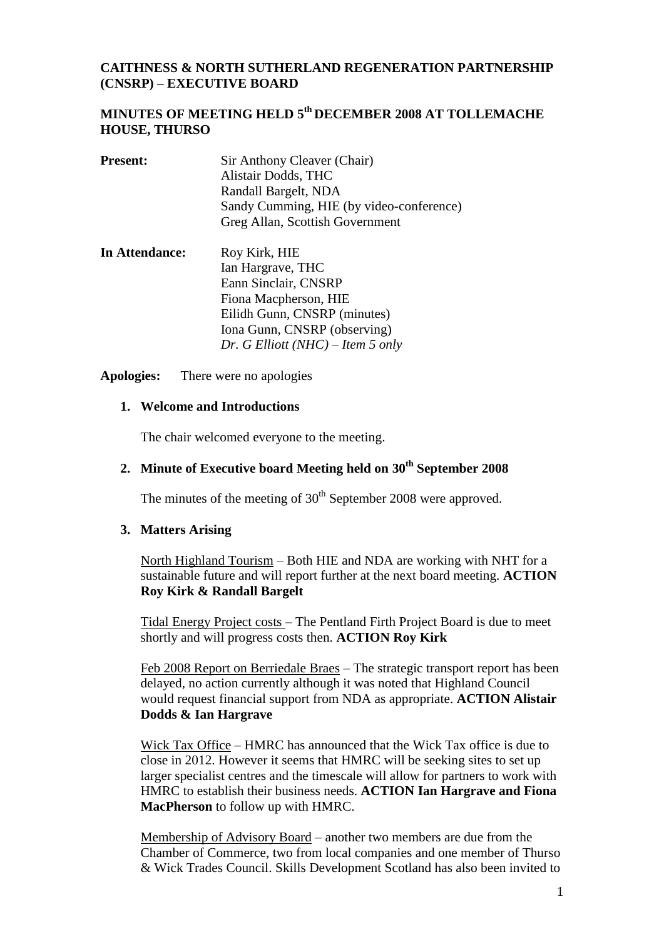### **CAITHNESS & NORTH SUTHERLAND REGENERATION PARTNERSHIP (CNSRP) – EXECUTIVE BOARD**

# **MINUTES OF MEETING HELD 5 th DECEMBER 2008 AT TOLLEMACHE HOUSE, THURSO**

| <b>Present:</b> | Sir Anthony Cleaver (Chair)<br>Alistair Dodds, THC<br>Randall Bargelt, NDA<br>Sandy Cumming, HIE (by video-conference)<br>Greg Allan, Scottish Government |
|-----------------|-----------------------------------------------------------------------------------------------------------------------------------------------------------|
| In Attendance:  | $Row$ Kirk HIE                                                                                                                                            |

**In Attendance:** Roy Kirk, HIE Ian Hargrave, THC Eann Sinclair, CNSRP Fiona Macpherson, HIE Eilidh Gunn, CNSRP (minutes) Iona Gunn, CNSRP (observing) *Dr. G Elliott (NHC) – Item 5 only*

**Apologies:** There were no apologies

#### **1. Welcome and Introductions**

The chair welcomed everyone to the meeting.

# **2. Minute of Executive board Meeting held on 30 th September 2008**

The minutes of the meeting of  $30<sup>th</sup>$  September 2008 were approved.

#### **3. Matters Arising**

North Highland Tourism – Both HIE and NDA are working with NHT for a sustainable future and will report further at the next board meeting. **ACTION Roy Kirk & Randall Bargelt**

Tidal Energy Project costs – The Pentland Firth Project Board is due to meet shortly and will progress costs then. **ACTION Roy Kirk**

Feb 2008 Report on Berriedale Braes – The strategic transport report has been delayed, no action currently although it was noted that Highland Council would request financial support from NDA as appropriate. **ACTION Alistair Dodds & Ian Hargrave**

Wick Tax Office – HMRC has announced that the Wick Tax office is due to close in 2012. However it seems that HMRC will be seeking sites to set up larger specialist centres and the timescale will allow for partners to work with HMRC to establish their business needs. **ACTION Ian Hargrave and Fiona MacPherson** to follow up with HMRC.

Membership of Advisory Board – another two members are due from the Chamber of Commerce, two from local companies and one member of Thurso & Wick Trades Council. Skills Development Scotland has also been invited to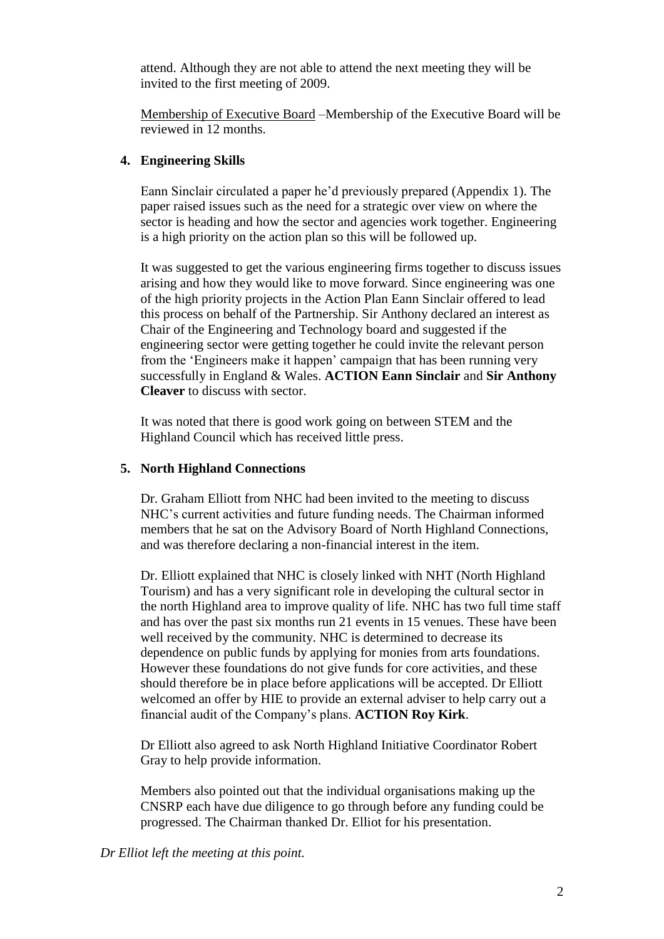attend. Although they are not able to attend the next meeting they will be invited to the first meeting of 2009.

Membership of Executive Board –Membership of the Executive Board will be reviewed in 12 months.

### **4. Engineering Skills**

Eann Sinclair circulated a paper he"d previously prepared (Appendix 1). The paper raised issues such as the need for a strategic over view on where the sector is heading and how the sector and agencies work together. Engineering is a high priority on the action plan so this will be followed up.

It was suggested to get the various engineering firms together to discuss issues arising and how they would like to move forward. Since engineering was one of the high priority projects in the Action Plan Eann Sinclair offered to lead this process on behalf of the Partnership. Sir Anthony declared an interest as Chair of the Engineering and Technology board and suggested if the engineering sector were getting together he could invite the relevant person from the "Engineers make it happen" campaign that has been running very successfully in England & Wales. **ACTION Eann Sinclair** and **Sir Anthony Cleaver** to discuss with sector.

It was noted that there is good work going on between STEM and the Highland Council which has received little press.

### **5. North Highland Connections**

Dr. Graham Elliott from NHC had been invited to the meeting to discuss NHC"s current activities and future funding needs. The Chairman informed members that he sat on the Advisory Board of North Highland Connections, and was therefore declaring a non-financial interest in the item.

Dr. Elliott explained that NHC is closely linked with NHT (North Highland Tourism) and has a very significant role in developing the cultural sector in the north Highland area to improve quality of life. NHC has two full time staff and has over the past six months run 21 events in 15 venues. These have been well received by the community. NHC is determined to decrease its dependence on public funds by applying for monies from arts foundations. However these foundations do not give funds for core activities, and these should therefore be in place before applications will be accepted. Dr Elliott welcomed an offer by HIE to provide an external adviser to help carry out a financial audit of the Company"s plans. **ACTION Roy Kirk**.

Dr Elliott also agreed to ask North Highland Initiative Coordinator Robert Gray to help provide information.

Members also pointed out that the individual organisations making up the CNSRP each have due diligence to go through before any funding could be progressed. The Chairman thanked Dr. Elliot for his presentation.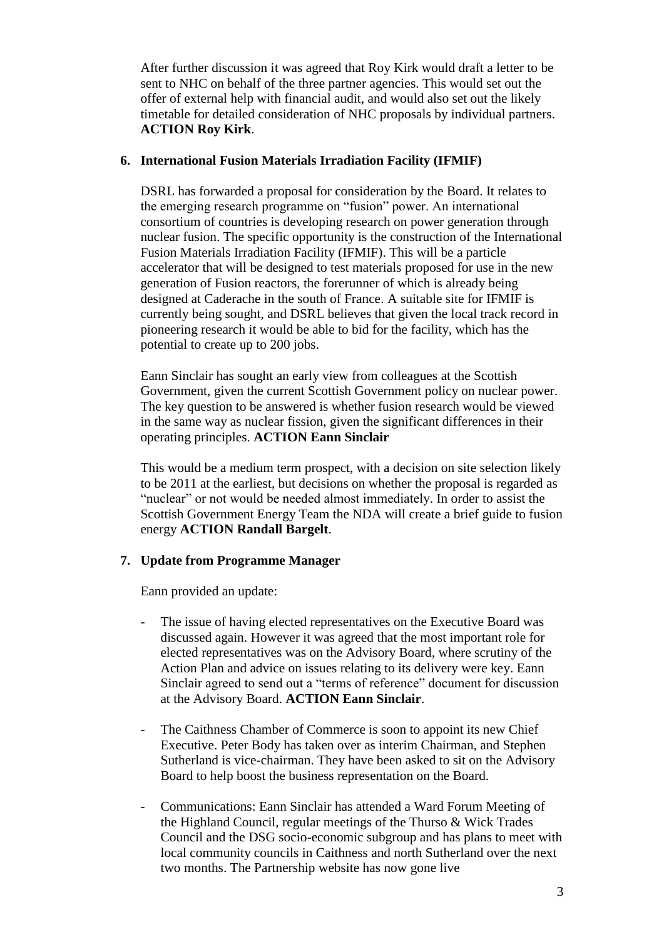After further discussion it was agreed that Roy Kirk would draft a letter to be sent to NHC on behalf of the three partner agencies. This would set out the offer of external help with financial audit, and would also set out the likely timetable for detailed consideration of NHC proposals by individual partners. **ACTION Roy Kirk**.

### **6. International Fusion Materials Irradiation Facility (IFMIF)**

DSRL has forwarded a proposal for consideration by the Board. It relates to the emerging research programme on "fusion" power. An international consortium of countries is developing research on power generation through nuclear fusion. The specific opportunity is the construction of the International Fusion Materials Irradiation Facility (IFMIF). This will be a particle accelerator that will be designed to test materials proposed for use in the new generation of Fusion reactors, the forerunner of which is already being designed at Caderache in the south of France. A suitable site for IFMIF is currently being sought, and DSRL believes that given the local track record in pioneering research it would be able to bid for the facility, which has the potential to create up to 200 jobs.

Eann Sinclair has sought an early view from colleagues at the Scottish Government, given the current Scottish Government policy on nuclear power. The key question to be answered is whether fusion research would be viewed in the same way as nuclear fission, given the significant differences in their operating principles. **ACTION Eann Sinclair**

This would be a medium term prospect, with a decision on site selection likely to be 2011 at the earliest, but decisions on whether the proposal is regarded as "nuclear" or not would be needed almost immediately. In order to assist the Scottish Government Energy Team the NDA will create a brief guide to fusion energy **ACTION Randall Bargelt**.

### **7. Update from Programme Manager**

Eann provided an update:

- The issue of having elected representatives on the Executive Board was discussed again. However it was agreed that the most important role for elected representatives was on the Advisory Board, where scrutiny of the Action Plan and advice on issues relating to its delivery were key. Eann Sinclair agreed to send out a "terms of reference" document for discussion at the Advisory Board. **ACTION Eann Sinclair**.
- The Caithness Chamber of Commerce is soon to appoint its new Chief Executive. Peter Body has taken over as interim Chairman, and Stephen Sutherland is vice-chairman. They have been asked to sit on the Advisory Board to help boost the business representation on the Board.
- Communications: Eann Sinclair has attended a Ward Forum Meeting of the Highland Council, regular meetings of the Thurso & Wick Trades Council and the DSG socio-economic subgroup and has plans to meet with local community councils in Caithness and north Sutherland over the next two months. The Partnership website has now gone live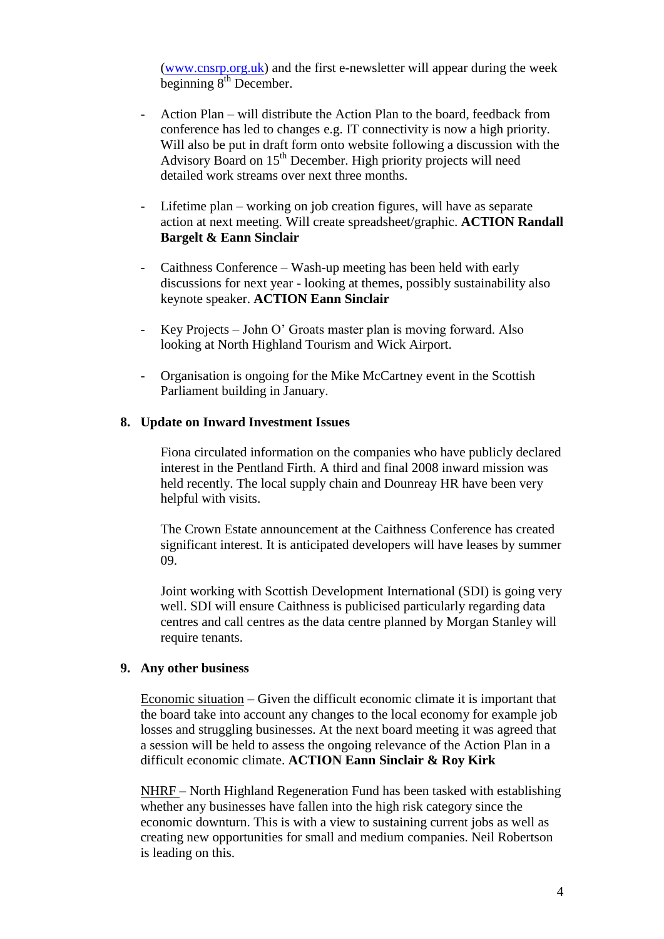[\(www.cnsrp.org.uk\)](http://www.cnsrp.org.uk/) and the first e-newsletter will appear during the week beginning 8<sup>th</sup> December.

- Action Plan will distribute the Action Plan to the board, feedback from conference has led to changes e.g. IT connectivity is now a high priority. Will also be put in draft form onto website following a discussion with the Advisory Board on  $15<sup>th</sup>$  December. High priority projects will need detailed work streams over next three months.
- Lifetime plan working on job creation figures, will have as separate action at next meeting. Will create spreadsheet/graphic. **ACTION Randall Bargelt & Eann Sinclair**
- Caithness Conference Wash-up meeting has been held with early discussions for next year - looking at themes, possibly sustainability also keynote speaker. **ACTION Eann Sinclair**
- Key Projects John O" Groats master plan is moving forward. Also looking at North Highland Tourism and Wick Airport.
- Organisation is ongoing for the Mike McCartney event in the Scottish Parliament building in January.

#### **8. Update on Inward Investment Issues**

Fiona circulated information on the companies who have publicly declared interest in the Pentland Firth. A third and final 2008 inward mission was held recently. The local supply chain and Dounreay HR have been very helpful with visits.

The Crown Estate announcement at the Caithness Conference has created significant interest. It is anticipated developers will have leases by summer 09.

Joint working with Scottish Development International (SDI) is going very well. SDI will ensure Caithness is publicised particularly regarding data centres and call centres as the data centre planned by Morgan Stanley will require tenants.

#### **9. Any other business**

Economic situation – Given the difficult economic climate it is important that the board take into account any changes to the local economy for example job losses and struggling businesses. At the next board meeting it was agreed that a session will be held to assess the ongoing relevance of the Action Plan in a difficult economic climate. **ACTION Eann Sinclair & Roy Kirk**

NHRF – North Highland Regeneration Fund has been tasked with establishing whether any businesses have fallen into the high risk category since the economic downturn. This is with a view to sustaining current jobs as well as creating new opportunities for small and medium companies. Neil Robertson is leading on this.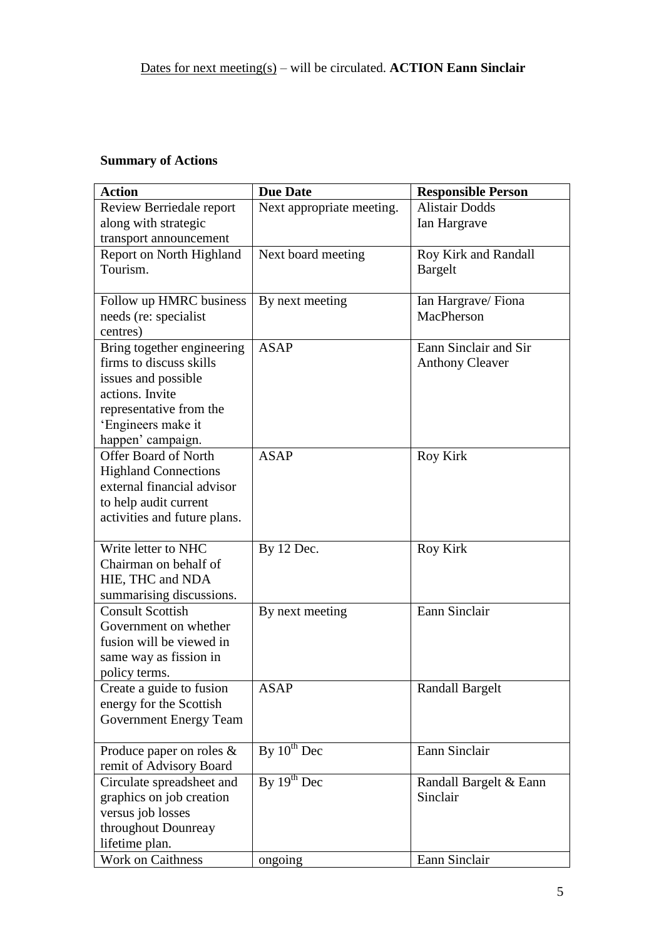# **Summary of Actions**

| <b>Action</b>                 | <b>Due Date</b>           | <b>Responsible Person</b> |
|-------------------------------|---------------------------|---------------------------|
| Review Berriedale report      | Next appropriate meeting. | <b>Alistair Dodds</b>     |
| along with strategic          |                           | Ian Hargrave              |
| transport announcement        |                           |                           |
| Report on North Highland      | Next board meeting        | Roy Kirk and Randall      |
| Tourism.                      |                           | <b>Bargelt</b>            |
|                               |                           |                           |
| Follow up HMRC business       | By next meeting           | Ian Hargrave/Fiona        |
| needs (re: specialist         |                           | MacPherson                |
| centres)                      |                           |                           |
| Bring together engineering    | <b>ASAP</b>               | Eann Sinclair and Sir     |
| firms to discuss skills       |                           | <b>Anthony Cleaver</b>    |
| issues and possible           |                           |                           |
| actions. Invite               |                           |                           |
| representative from the       |                           |                           |
| 'Engineers make it            |                           |                           |
| happen' campaign.             |                           |                           |
| <b>Offer Board of North</b>   | <b>ASAP</b>               | <b>Roy Kirk</b>           |
| <b>Highland Connections</b>   |                           |                           |
| external financial advisor    |                           |                           |
| to help audit current         |                           |                           |
| activities and future plans.  |                           |                           |
| Write letter to NHC           | By 12 Dec.                | <b>Roy Kirk</b>           |
| Chairman on behalf of         |                           |                           |
| HIE, THC and NDA              |                           |                           |
| summarising discussions.      |                           |                           |
| <b>Consult Scottish</b>       | By next meeting           | Eann Sinclair             |
| Government on whether         |                           |                           |
| fusion will be viewed in      |                           |                           |
| same way as fission in        |                           |                           |
| policy terms.                 |                           |                           |
| Create a guide to fusion      | <b>ASAP</b>               | Randall Bargelt           |
| energy for the Scottish       |                           |                           |
| <b>Government Energy Team</b> |                           |                           |
|                               |                           |                           |
| Produce paper on roles &      | By $10^{th}$ Dec          | Eann Sinclair             |
| remit of Advisory Board       |                           |                           |
| Circulate spreadsheet and     | By $19^{th}$ Dec          | Randall Bargelt & Eann    |
| graphics on job creation      |                           | Sinclair                  |
| versus job losses             |                           |                           |
| throughout Dounreay           |                           |                           |
| lifetime plan.                |                           |                           |
| Work on Caithness             | ongoing                   | Eann Sinclair             |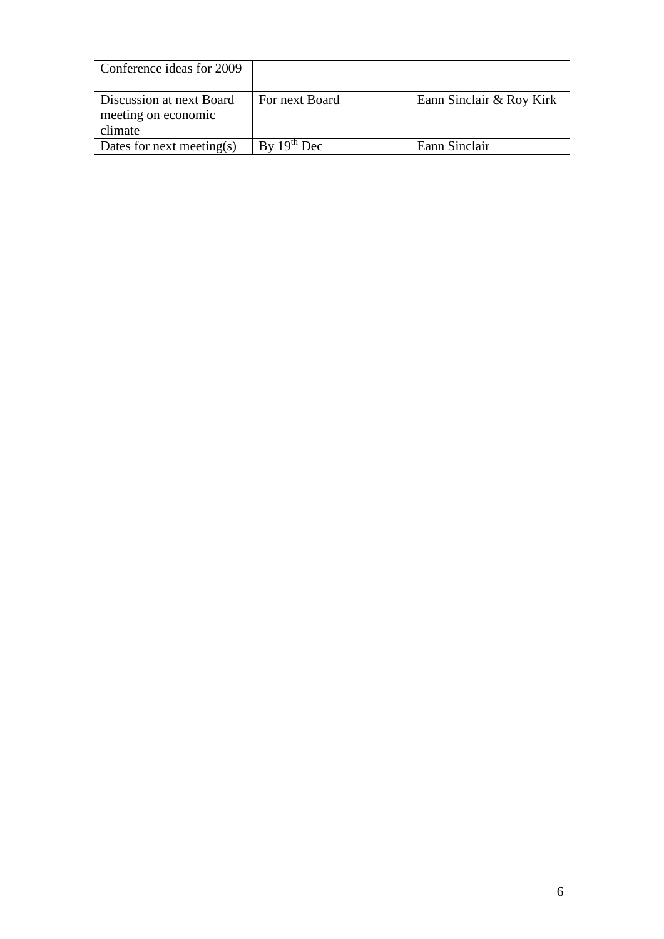| Conference ideas for 2009                                  |                  |                          |
|------------------------------------------------------------|------------------|--------------------------|
| Discussion at next Board<br>meeting on economic<br>climate | For next Board   | Eann Sinclair & Roy Kirk |
| Dates for next meeting(s)                                  | By $19^{th}$ Dec | Eann Sinclair            |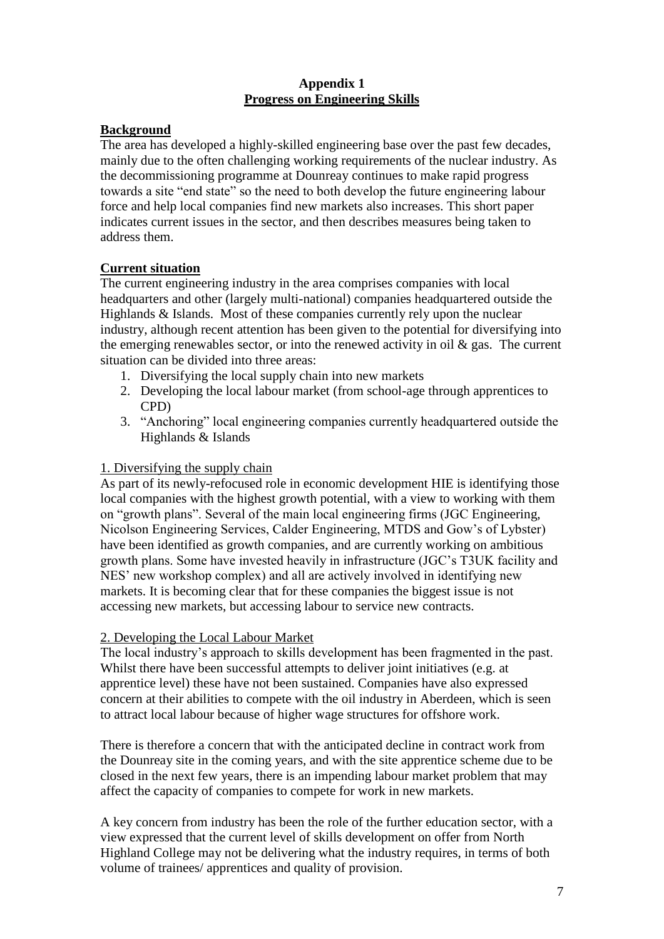### **Appendix 1 Progress on Engineering Skills**

# **Background**

The area has developed a highly-skilled engineering base over the past few decades, mainly due to the often challenging working requirements of the nuclear industry. As the decommissioning programme at Dounreay continues to make rapid progress towards a site "end state" so the need to both develop the future engineering labour force and help local companies find new markets also increases. This short paper indicates current issues in the sector, and then describes measures being taken to address them.

# **Current situation**

The current engineering industry in the area comprises companies with local headquarters and other (largely multi-national) companies headquartered outside the Highlands & Islands. Most of these companies currently rely upon the nuclear industry, although recent attention has been given to the potential for diversifying into the emerging renewables sector, or into the renewed activity in oil  $\&$  gas. The current situation can be divided into three areas:

- 1. Diversifying the local supply chain into new markets
- 2. Developing the local labour market (from school-age through apprentices to CPD)
- 3. "Anchoring" local engineering companies currently headquartered outside the Highlands & Islands

## 1. Diversifying the supply chain

As part of its newly-refocused role in economic development HIE is identifying those local companies with the highest growth potential, with a view to working with them on "growth plans". Several of the main local engineering firms (JGC Engineering, Nicolson Engineering Services, Calder Engineering, MTDS and Gow"s of Lybster) have been identified as growth companies, and are currently working on ambitious growth plans. Some have invested heavily in infrastructure (JGC"s T3UK facility and NES" new workshop complex) and all are actively involved in identifying new markets. It is becoming clear that for these companies the biggest issue is not accessing new markets, but accessing labour to service new contracts.

### 2. Developing the Local Labour Market

The local industry"s approach to skills development has been fragmented in the past. Whilst there have been successful attempts to deliver joint initiatives (e.g. at apprentice level) these have not been sustained. Companies have also expressed concern at their abilities to compete with the oil industry in Aberdeen, which is seen to attract local labour because of higher wage structures for offshore work.

There is therefore a concern that with the anticipated decline in contract work from the Dounreay site in the coming years, and with the site apprentice scheme due to be closed in the next few years, there is an impending labour market problem that may affect the capacity of companies to compete for work in new markets.

A key concern from industry has been the role of the further education sector, with a view expressed that the current level of skills development on offer from North Highland College may not be delivering what the industry requires, in terms of both volume of trainees/ apprentices and quality of provision.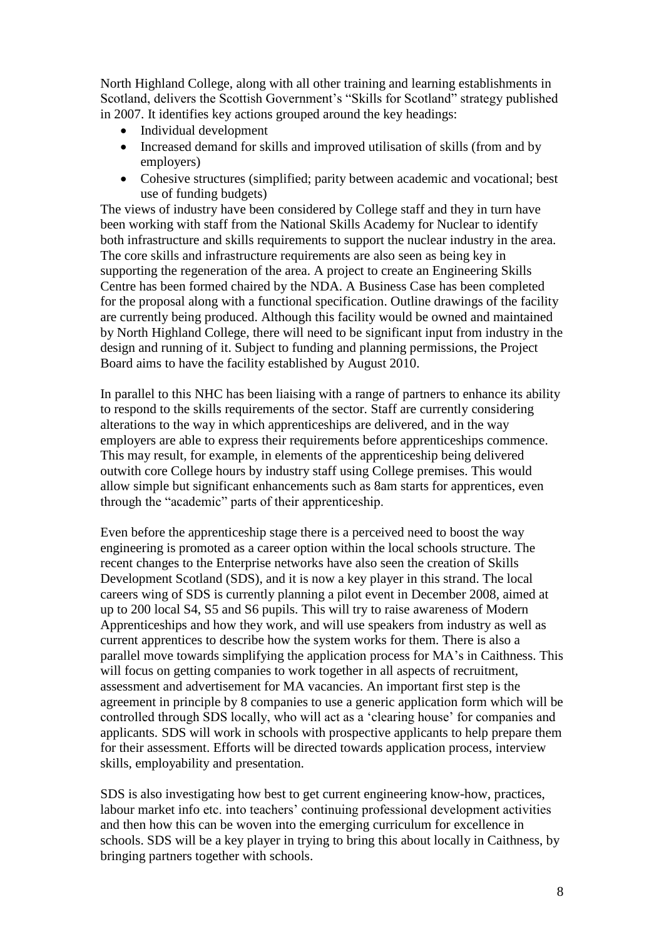North Highland College, along with all other training and learning establishments in Scotland, delivers the Scottish Government's "Skills for Scotland" strategy published in 2007. It identifies key actions grouped around the key headings:

- Individual development
- Increased demand for skills and improved utilisation of skills (from and by employers)
- Cohesive structures (simplified; parity between academic and vocational; best use of funding budgets)

The views of industry have been considered by College staff and they in turn have been working with staff from the National Skills Academy for Nuclear to identify both infrastructure and skills requirements to support the nuclear industry in the area. The core skills and infrastructure requirements are also seen as being key in supporting the regeneration of the area. A project to create an Engineering Skills Centre has been formed chaired by the NDA. A Business Case has been completed for the proposal along with a functional specification. Outline drawings of the facility are currently being produced. Although this facility would be owned and maintained by North Highland College, there will need to be significant input from industry in the design and running of it. Subject to funding and planning permissions, the Project Board aims to have the facility established by August 2010.

In parallel to this NHC has been liaising with a range of partners to enhance its ability to respond to the skills requirements of the sector. Staff are currently considering alterations to the way in which apprenticeships are delivered, and in the way employers are able to express their requirements before apprenticeships commence. This may result, for example, in elements of the apprenticeship being delivered outwith core College hours by industry staff using College premises. This would allow simple but significant enhancements such as 8am starts for apprentices, even through the "academic" parts of their apprenticeship.

Even before the apprenticeship stage there is a perceived need to boost the way engineering is promoted as a career option within the local schools structure. The recent changes to the Enterprise networks have also seen the creation of Skills Development Scotland (SDS), and it is now a key player in this strand. The local careers wing of SDS is currently planning a pilot event in December 2008, aimed at up to 200 local S4, S5 and S6 pupils. This will try to raise awareness of Modern Apprenticeships and how they work, and will use speakers from industry as well as current apprentices to describe how the system works for them. There is also a parallel move towards simplifying the application process for MA"s in Caithness. This will focus on getting companies to work together in all aspects of recruitment, assessment and advertisement for MA vacancies. An important first step is the agreement in principle by 8 companies to use a generic application form which will be controlled through SDS locally, who will act as a "clearing house" for companies and applicants. SDS will work in schools with prospective applicants to help prepare them for their assessment. Efforts will be directed towards application process, interview skills, employability and presentation.

SDS is also investigating how best to get current engineering know-how, practices, labour market info etc. into teachers' continuing professional development activities and then how this can be woven into the emerging curriculum for excellence in schools. SDS will be a key player in trying to bring this about locally in Caithness, by bringing partners together with schools.